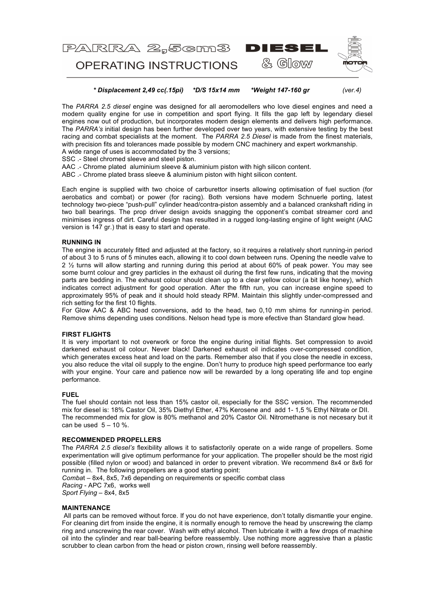

 *\* Displacement 2,49 cc(.15pi) \*D/S 15x14 mm \*Weight 147-160 gr (ver.4)*

The *PARRA 2.5 diesel* engine was designed for all aeromodellers who love diesel engines and need a modern quality engine for use in competition and sport flying. It fills the gap left by legendary diesel engines now out of production, but incorporates modern design elements and delivers high performance. The *PARRA's* initial design has been further developed over two years, with extensive testing by the best racing and combat specialists at the moment. The *PARRA 2.5 Diesel* is made from the finest materials, with precision fits and tolerances made possible by modern CNC machinery and expert workmanship. A wide range of uses is accommodated by the 3 versions;

SSC .- Steel chromed sleeve and steel piston.

AAC .- Chrome plated aluminium sleeve & aluminium piston with high silicon content.

ABC .- Chrome plated brass sleeve & aluminium piston with hight silicon content.

Each engine is supplied with two choice of carburettor inserts allowing optimisation of fuel suction (for aerobatics and combat) or power (for racing). Both versions have modern Schnuerle porting, latest technology two-piece "push-pull" cylinder head/contra-piston assembly and a balanced crankshaft riding in two ball bearings. The prop driver design avoids snagging the opponent's combat streamer cord and minimises ingress of dirt. Careful design has resulted in a rugged long-lasting engine of light weight (AAC version is 147 gr.) that is easy to start and operate.

## **RUNNING IN**

The engine is accurately fitted and adjusted at the factory, so it requires a relatively short running-in period of about 3 to 5 runs of 5 minutes each, allowing it to cool down between runs. Opening the needle valve to 2 ½ turns will allow starting and running during this period at about 60% of peak power. You may see some burnt colour and grey particles in the exhaust oil during the first few runs, indicating that the moving parts are bedding in. The exhaust colour should clean up to a clear yellow colour (a bit like honey), which indicates correct adjustment for good operation. After the fifth run, you can increase engine speed to approximately 95% of peak and it should hold steady RPM. Maintain this slightly under-compressed and rich setting for the first 10 flights.

For Glow AAC & ABC head conversions, add to the head, two 0,10 mm shims for running-in period. Remove shims depending uses conditions. Nelson head type is more efective than Standard glow head.

## **FIRST FLIGHTS**

It is very important to not overwork or force the engine during initial flights. Set compression to avoid darkened exhaust oil colour. Never black! Darkened exhaust oil indicates over-compressed condition, which generates excess heat and load on the parts. Remember also that if you close the needle in excess, you also reduce the vital oil supply to the engine. Don't hurry to produce high speed performance too early with your engine. Your care and patience now will be rewarded by a long operating life and top engine performance.

#### **FUEL**

The fuel should contain not less than 15% castor oil, especially for the SSC version. The recommended mix for diesel is: 18% Castor Oil, 35% Diethyl Ether, 47% Kerosene and add 1- 1,5 % Ethyl Nitrate or DII. The recommended mix for glow is 80% methanol and 20% Castor Oil. Nitromethane is not necesary but it can be used  $5 - 10$  %.

# **RECOMMENDED PROPELLERS**

The *PARRA 2.5 diesel's* flexibility allows it to satisfactorily operate on a wide range of propellers. Some experimentation will give optimum performance for your application. The propeller should be the most rigid possible (filled nylon or wood) and balanced in order to prevent vibration. We recommend 8x4 or 8x6 for running in. The following propellers are a good starting point:

*Comba*t – 8x4, 8x5, 7x6 depending on requirements or specific combat class *Racing* - APC 7x6, works well *Sport Flying* – 8x4, 8x5

## **MAINTENANCE**

All parts can be removed without force. If you do not have experience, don't totally dismantle your engine. For cleaning dirt from inside the engine, it is normally enough to remove the head by unscrewing the clamp ring and unscrewing the rear cover. Wash with ethyl alcohol. Then lubricate it with a few drops of machine oil into the cylinder and rear ball-bearing before reassembly. Use nothing more aggressive than a plastic scrubber to clean carbon from the head or piston crown, rinsing well before reassembly.